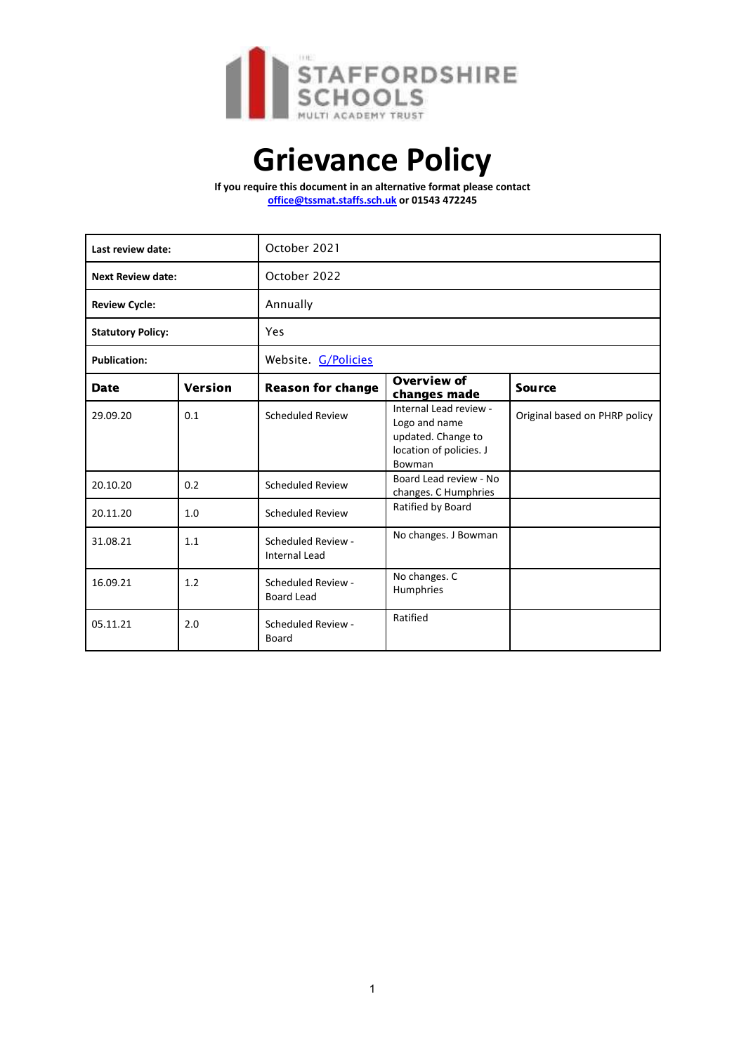

# **Grievance Policy**

**If you require this document in an alternative format please contact office@tssmat.staffs.sch.uk or 01543 472245**

| Last review date:        |         | October 2021                               |                                                                                                    |                               |
|--------------------------|---------|--------------------------------------------|----------------------------------------------------------------------------------------------------|-------------------------------|
| <b>Next Review date:</b> |         | October 2022                               |                                                                                                    |                               |
| <b>Review Cycle:</b>     |         | Annually                                   |                                                                                                    |                               |
| <b>Statutory Policy:</b> |         | Yes                                        |                                                                                                    |                               |
| <b>Publication:</b>      |         | Website. <b>G/Policies</b>                 |                                                                                                    |                               |
| <b>Date</b>              | Version | <b>Reason for change</b>                   | <b>Overview of</b><br>changes made                                                                 | <b>Source</b>                 |
| 29.09.20                 | 0.1     | <b>Scheduled Review</b>                    | Internal Lead review -<br>Logo and name<br>updated. Change to<br>location of policies. J<br>Bowman | Original based on PHRP policy |
| 20.10.20                 | 0.2     | <b>Scheduled Review</b>                    | Board Lead review - No<br>changes. C Humphries                                                     |                               |
| 20.11.20                 | 1.0     | <b>Scheduled Review</b>                    | Ratified by Board                                                                                  |                               |
| 31.08.21                 | 1.1     | Scheduled Review -<br><b>Internal Lead</b> | No changes. J Bowman                                                                               |                               |
| 16.09.21                 | 1.2     | Scheduled Review -<br><b>Board Lead</b>    | No changes. C<br>Humphries                                                                         |                               |
| 05.11.21                 | 2.0     | Scheduled Review -<br>Board                | Ratified                                                                                           |                               |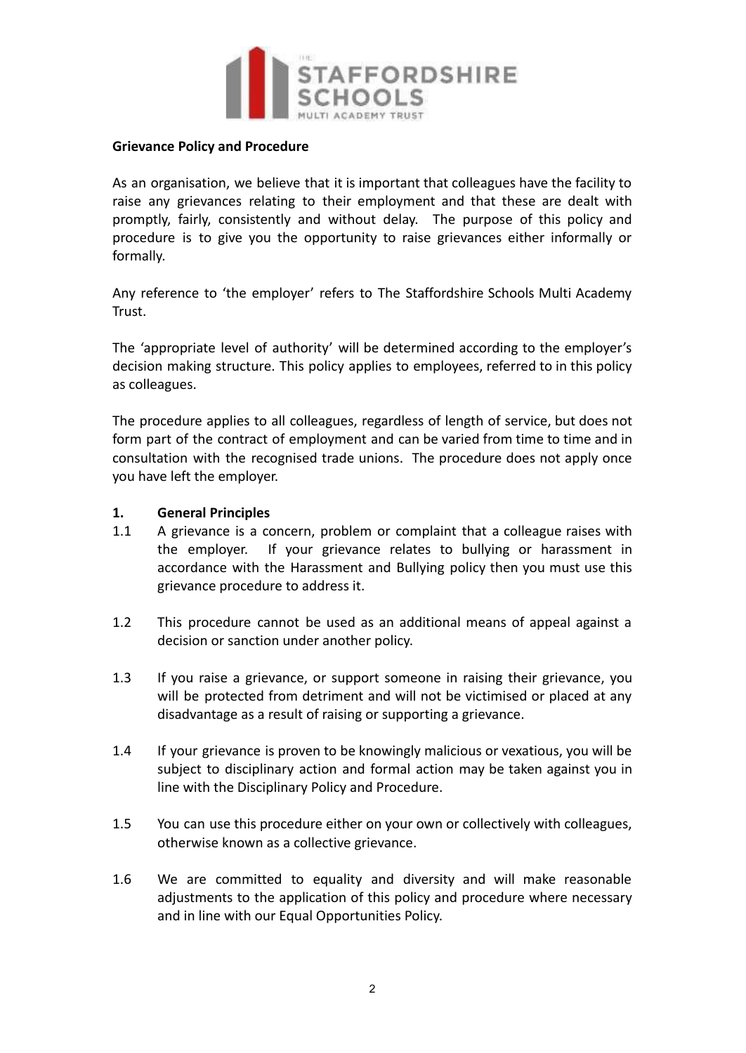

#### **Grievance Policy and Procedure**

As an organisation, we believe that it is important that colleagues have the facility to raise any grievances relating to their employment and that these are dealt with promptly, fairly, consistently and without delay. The purpose of this policy and procedure is to give you the opportunity to raise grievances either informally or formally.

Any reference to 'the employer' refers to The Staffordshire Schools Multi Academy Trust.

The 'appropriate level of authority' will be determined according to the employer's decision making structure. This policy applies to employees, referred to in this policy as colleagues.

The procedure applies to all colleagues, regardless of length of service, but does not form part of the contract of employment and can be varied from time to time and in consultation with the recognised trade unions. The procedure does not apply once you have left the employer.

## **1. General Principles**

- 1.1 A grievance is a concern, problem or complaint that a colleague raises with the employer. If your grievance relates to bullying or harassment in accordance with the Harassment and Bullying policy then you must use this grievance procedure to address it.
- 1.2 This procedure cannot be used as an additional means of appeal against a decision or sanction under another policy.
- 1.3 If you raise a grievance, or support someone in raising their grievance, you will be protected from detriment and will not be victimised or placed at any disadvantage as a result of raising or supporting a grievance.
- 1.4 If your grievance is proven to be knowingly malicious or vexatious, you will be subject to disciplinary action and formal action may be taken against you in line with the Disciplinary Policy and Procedure.
- 1.5 You can use this procedure either on your own or collectively with colleagues, otherwise known as a collective grievance.
- 1.6 We are committed to equality and diversity and will make reasonable adjustments to the application of this policy and procedure where necessary and in line with our Equal Opportunities Policy.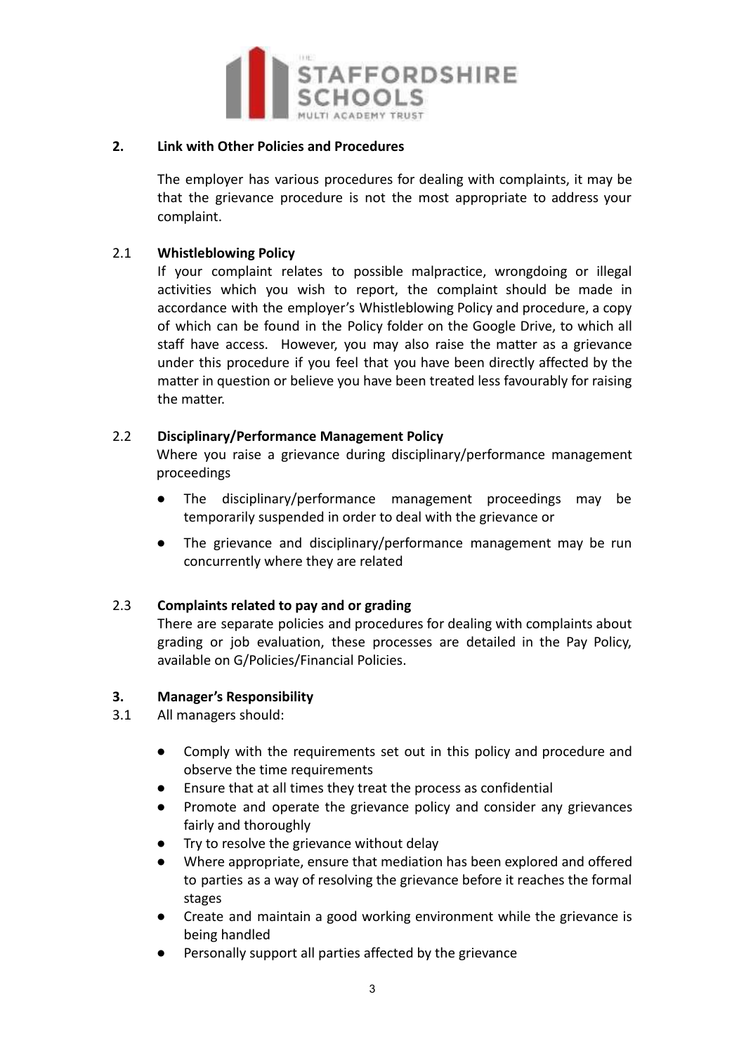

#### **2. Link with Other Policies and Procedures**

The employer has various procedures for dealing with complaints, it may be that the grievance procedure is not the most appropriate to address your complaint.

## 2.1 **Whistleblowing Policy**

If your complaint relates to possible malpractice, wrongdoing or illegal activities which you wish to report, the complaint should be made in accordance with the employer's Whistleblowing Policy and procedure, a copy of which can be found in the Policy folder on the Google Drive, to which all staff have access. However, you may also raise the matter as a grievance under this procedure if you feel that you have been directly affected by the matter in question or believe you have been treated less favourably for raising the matter.

## 2.2 **Disciplinary/Performance Management Policy**

Where you raise a grievance during disciplinary/performance management proceedings

- The disciplinary/performance management proceedings may be temporarily suspended in order to deal with the grievance or
- The grievance and disciplinary/performance management may be run concurrently where they are related

# 2.3 **Complaints related to pay and or grading**

There are separate policies and procedures for dealing with complaints about grading or job evaluation, these processes are detailed in the Pay Policy, available on G/Policies/Financial Policies.

#### **3. Manager's Responsibility**

- 3.1 All managers should:
	- Comply with the requirements set out in this policy and procedure and observe the time requirements
	- Ensure that at all times they treat the process as confidential
	- Promote and operate the grievance policy and consider any grievances fairly and thoroughly
	- Try to resolve the grievance without delay
	- Where appropriate, ensure that mediation has been explored and offered to parties as a way of resolving the grievance before it reaches the formal stages
	- Create and maintain a good working environment while the grievance is being handled
	- Personally support all parties affected by the grievance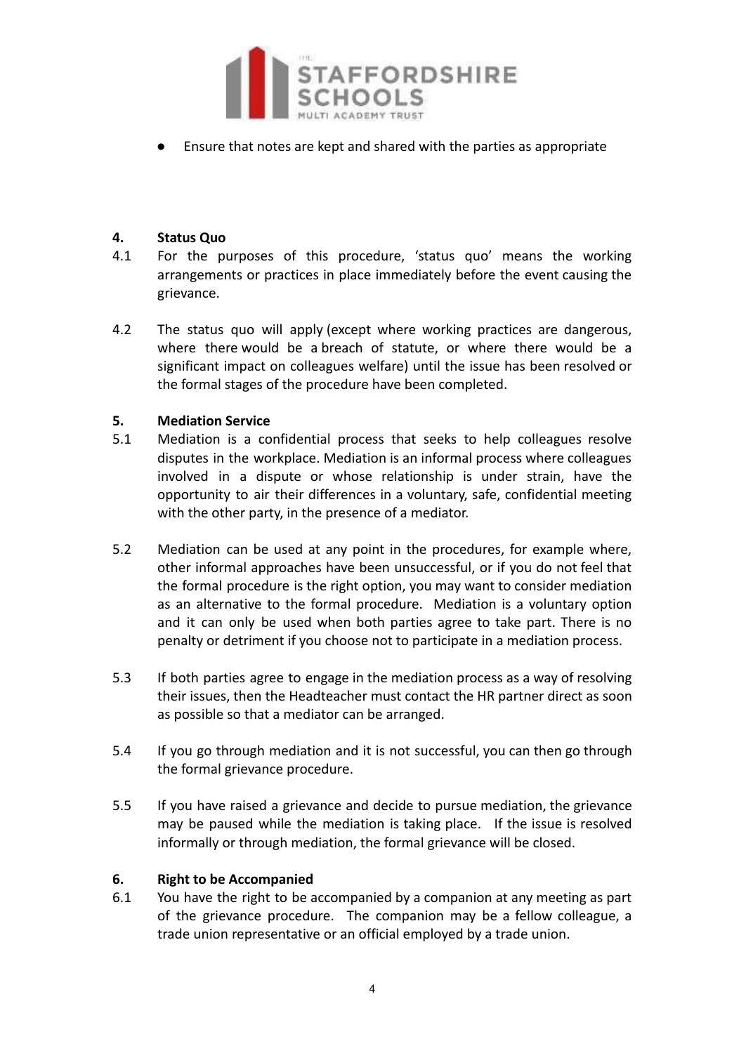

Ensure that notes are kept and shared with the parties as appropriate

## **4. Status Quo**

- 4.1 For the purposes of this procedure, 'status quo' means the working arrangements or practices in place immediately before the event causing the grievance.
- 4.2 The status quo will apply (except where working practices are dangerous, where there would be a breach of statute, or where there would be a significant impact on colleagues welfare) until the issue has been resolved or the formal stages of the procedure have been completed.

## **5. Mediation Service**

- 5.1 Mediation is a confidential process that seeks to help colleagues resolve disputes in the workplace. Mediation is an informal process where colleagues involved in a dispute or whose relationship is under strain, have the opportunity to air their differences in a voluntary, safe, confidential meeting with the other party, in the presence of a mediator.
- 5.2 Mediation can be used at any point in the procedures, for example where, other informal approaches have been unsuccessful, or if you do not feel that the formal procedure is the right option, you may want to consider mediation as an alternative to the formal procedure. Mediation is a voluntary option and it can only be used when both parties agree to take part. There is no penalty or detriment if you choose not to participate in a mediation process.
- 5.3 If both parties agree to engage in the mediation process as a way of resolving their issues, then the Headteacher must contact the HR partner direct as soon as possible so that a mediator can be arranged.
- 5.4 If you go through mediation and it is not successful, you can then go through the formal grievance procedure.
- 5.5 If you have raised a grievance and decide to pursue mediation, the grievance may be paused while the mediation is taking place. If the issue is resolved informally or through mediation, the formal grievance will be closed.

#### **6. Right to be Accompanied**

6.1 You have the right to be accompanied by a companion at any meeting as part of the grievance procedure. The companion may be a fellow colleague, a trade union representative or an official employed by a trade union.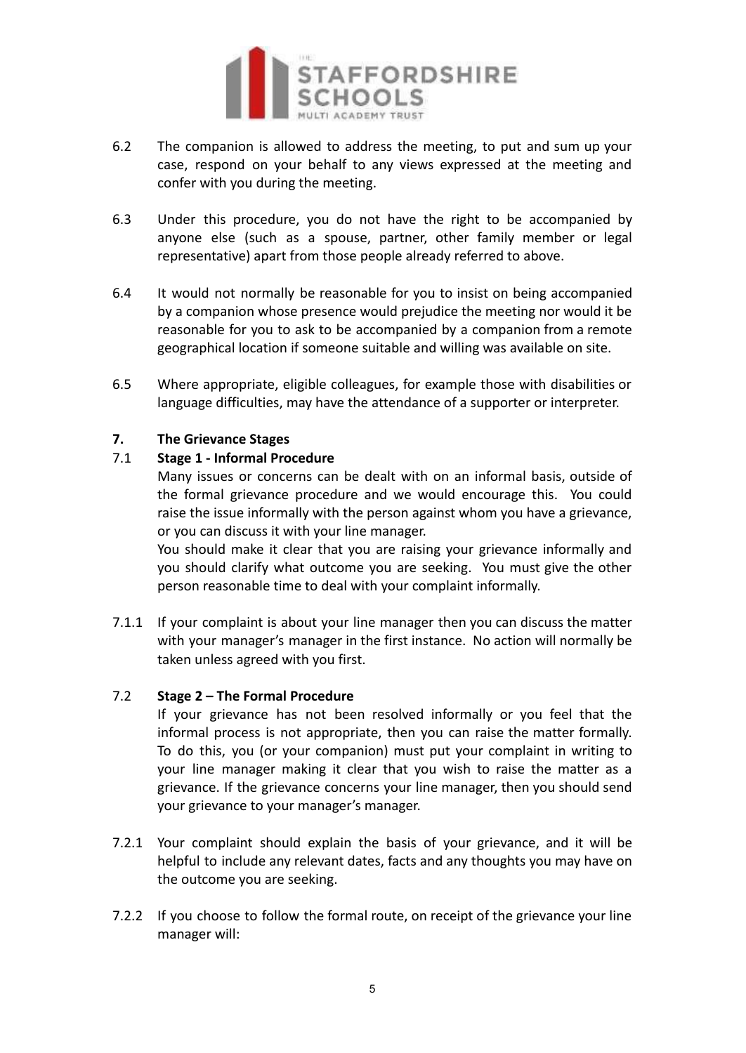

- 6.2 The companion is allowed to address the meeting, to put and sum up your case, respond on your behalf to any views expressed at the meeting and confer with you during the meeting.
- 6.3 Under this procedure, you do not have the right to be accompanied by anyone else (such as a spouse, partner, other family member or legal representative) apart from those people already referred to above.
- 6.4 It would not normally be reasonable for you to insist on being accompanied by a companion whose presence would prejudice the meeting nor would it be reasonable for you to ask to be accompanied by a companion from a remote geographical location if someone suitable and willing was available on site.
- 6.5 Where appropriate, eligible colleagues, for example those with disabilities or language difficulties, may have the attendance of a supporter or interpreter.

## **7. The Grievance Stages**

## 7.1 **Stage 1 - Informal Procedure**

Many issues or concerns can be dealt with on an informal basis, outside of the formal grievance procedure and we would encourage this. You could raise the issue informally with the person against whom you have a grievance, or you can discuss it with your line manager.

You should make it clear that you are raising your grievance informally and you should clarify what outcome you are seeking. You must give the other person reasonable time to deal with your complaint informally.

7.1.1 If your complaint is about your line manager then you can discuss the matter with your manager's manager in the first instance. No action will normally be taken unless agreed with you first.

#### 7.2 **Stage 2 – The Formal Procedure**

If your grievance has not been resolved informally or you feel that the informal process is not appropriate, then you can raise the matter formally. To do this, you (or your companion) must put your complaint in writing to your line manager making it clear that you wish to raise the matter as a grievance. If the grievance concerns your line manager, then you should send your grievance to your manager's manager.

- 7.2.1 Your complaint should explain the basis of your grievance, and it will be helpful to include any relevant dates, facts and any thoughts you may have on the outcome you are seeking.
- 7.2.2 If you choose to follow the formal route, on receipt of the grievance your line manager will: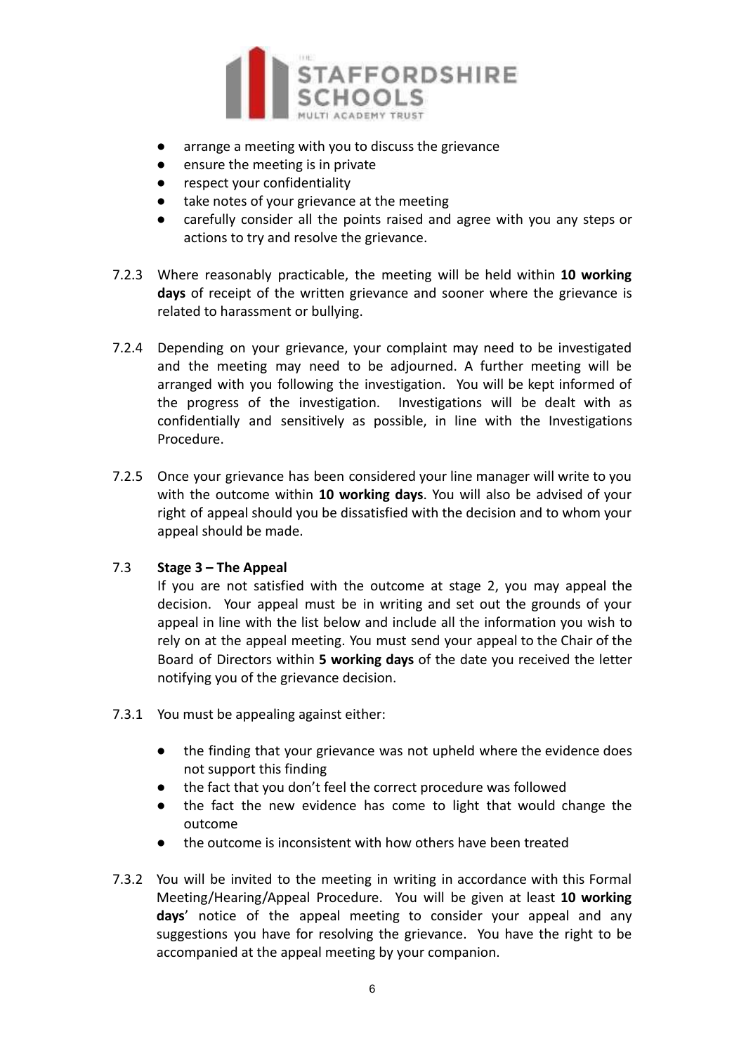

- arrange a meeting with you to discuss the grievance
- ensure the meeting is in private
- respect your confidentiality
- take notes of your grievance at the meeting
- carefully consider all the points raised and agree with you any steps or actions to try and resolve the grievance.
- 7.2.3 Where reasonably practicable, the meeting will be held within **10 working days** of receipt of the written grievance and sooner where the grievance is related to harassment or bullying.
- 7.2.4 Depending on your grievance, your complaint may need to be investigated and the meeting may need to be adjourned. A further meeting will be arranged with you following the investigation. You will be kept informed of the progress of the investigation. Investigations will be dealt with as confidentially and sensitively as possible, in line with the Investigations Procedure.
- 7.2.5 Once your grievance has been considered your line manager will write to you with the outcome within **10 working days**. You will also be advised of your right of appeal should you be dissatisfied with the decision and to whom your appeal should be made.

#### 7.3 **Stage 3 – The Appeal**

If you are not satisfied with the outcome at stage 2, you may appeal the decision. Your appeal must be in writing and set out the grounds of your appeal in line with the list below and include all the information you wish to rely on at the appeal meeting. You must send your appeal to the Chair of the Board of Directors within **5 working days** of the date you received the letter notifying you of the grievance decision.

- 7.3.1 You must be appealing against either:
	- the finding that your grievance was not upheld where the evidence does not support this finding
	- the fact that you don't feel the correct procedure was followed
	- the fact the new evidence has come to light that would change the outcome
	- the outcome is inconsistent with how others have been treated
- 7.3.2 You will be invited to the meeting in writing in accordance with this Formal Meeting/Hearing/Appeal Procedure. You will be given at least **10 working days**' notice of the appeal meeting to consider your appeal and any suggestions you have for resolving the grievance. You have the right to be accompanied at the appeal meeting by your companion.